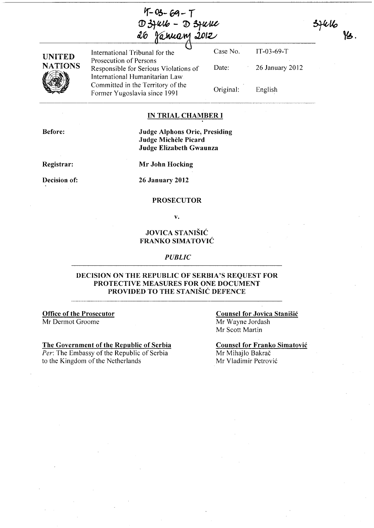| $4 - 03 - 69 - 7$      |  |
|------------------------|--|
| $D3$ fulls $ D3$ fulle |  |
| 26 January 2012        |  |



International Tribunal for the Case No. Prosecution of Persons Responsible for Serious Violations of International Humanitarian Law Committed in the Territory of the Former Yugoslavia since 1991

Date: Original: IT-03-69-T 26 January 2012 English

 $3444$ 

 $\mathcal{L}$ .

# IN TRIAL CHAMBER I

Before:

Judge Alphons Orie, Presiding Judge Michele Picard Judge Elizabeth Gwaunza

Registrar:

Mr John Hocking

Decision of:

26 January 2012

## PROSECUTOR

v.

## JOVICA STANISIC FRANKO SIMATOVIC

*PUBLIC* 

### DECISION ON THE REPUBLIC OF SERBIA'S REQUEST FOR PROTECTIVE MEASURES FOR ONE DOCUMENT PROVIDED TO THE STANIŠIĆ DEFENCE

#### Office of the Prosecutor Mr Dermot Groome

The Government of the Republic of Serbia

*Per:* The Embassy of the Republic of Serbia to the Kingdom of the Netherlands

#### Counsel for Jovica Stanišić Mr Wayne Jordash Mr Scott Martin

Counsel for Franko Simatovic Mr Mihajlo Bakrač Mr Vladimir Petrović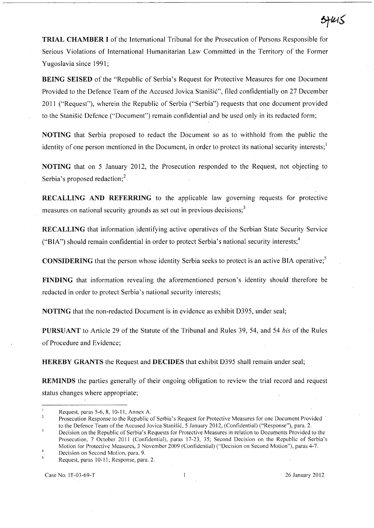TRIAL CHAMBER I of the International Tribunal for the Prosecution of Persons Responsible for Serious Violations of International Humanitarian Law Committed in the Territory of the Former Yugoslavia since 1991;

BEING SEISED of the "Republic of Serbia's Request for Protective Measures for one Document Provided to the Defence Team of the Accused Jovica Stanišić", filed confidentially on 27 December 2011 ("Request"), wherein the Republic of Serbia ("Serbia") requests that one document provided to the Stanišić Defence ("Document") remain confidential and be used only in its redacted form;

NOTING that Serbia proposed to redact the Document so as to withhold from the public the identity of one person mentioned in the Document, in order to protect its national security interests;  $\frac{1}{1}$ 

NOTING that on 5 January 2012, the Prosecution responded to the Request, not objecting to Serbia's proposed redaction;<sup>2</sup>

RECALLING AND REFERRING to the applicable law governing requests for protective measures on national security grounds as set out in previous decisions;<sup>3</sup>

RECALLING that information identifying active operatives of the Serbian State Security Service ("BIA") should remain confidential in order to protect Serbia's national security interests;<sup>4</sup>

CONSIDERING that the person whose identity Serbia seeks to protect is an active BIA operative;5

FINDING that information revealing the aforementioned person's identity should therefore be redacted in order to protect Serbia's national security interests;

NOTING that the non-redacted Document is in evidence as exhibit 0395, under seal;

PURSUANT to Article 29 of the Statute of the Tribunal and Rules 39, 54, and 54 *bis* of the Rules of Procedure and Evidence;

HEREBY GRANTS the Request and DECIDES that exhibit 0395 shall remain under seal;

REMINDS the parties generally of their ongoing obligation to review the trial record and request status changes where appropriate;

- Request, paras 5-6, 8, 10-11, Annex A.
- $\overline{2}$ Prosecution Response to the Republic of Serbia's Request for Protective Measures for one Document Provided' to the Defence Team of the Accused Jovica Stanisic, 5 January 2012, (Confidential) ("Response"), para. 2.
- $\overline{\mathbf{3}}$ Decision on the Republic of Serbia's Requests for Protective Measures in relation to Documents Provided to the Prosecution, 7 October 2011 (Confidential), paras 17-23, 35; Second Decision on the Republic of Serbia's Motion for Protective Measures, 3 November 2009 (Confidential) ("Decision on Second Motion"), paras 4-7. Decision on Second Motion, para. 9.
- Request, paras 10-11; Response, para. 2.

Case No. IT-03-69-T 26 January 20 I 2

5FRIS